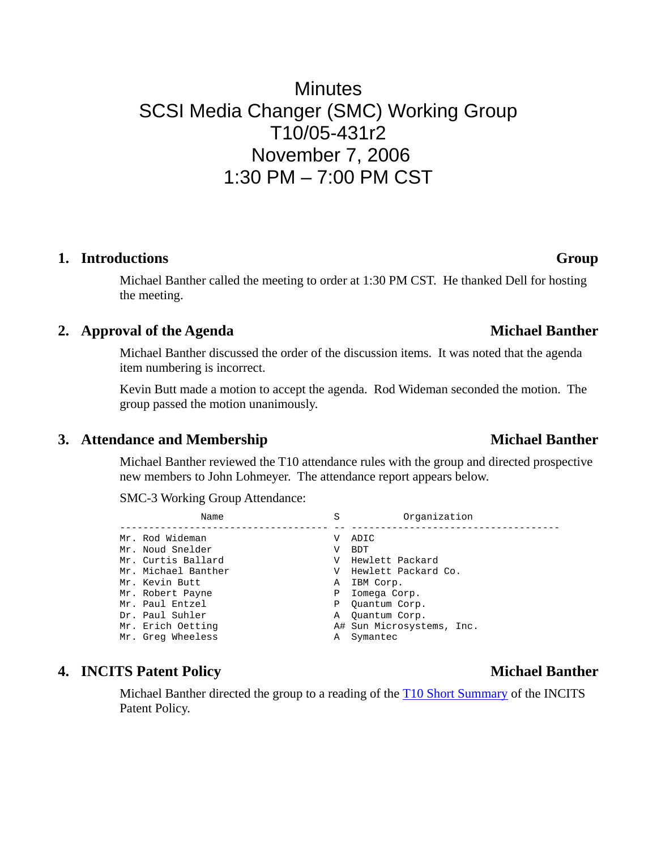# **Minutes** SCSI Media Changer (SMC) Working Group T10/05-431r2 November 7, 2006 1:30 PM – 7:00 PM CST

### **1. Introductions Group**

Michael Banther called the meeting to order at 1:30 PM CST. He thanked Dell for hosting the meeting.

### 2. **Approval of the Agenda** Michael Banther

Michael Banther discussed the order of the discussion items. It was noted that the agenda item numbering is incorrect.

Kevin Butt made a motion to accept the agenda. Rod Wideman seconded the motion. The group passed the motion unanimously.

### **3.** Attendance and Membership Michael Banther

Michael Banther reviewed the T10 attendance rules with the group and directed prospective new members to John Lohmeyer. The attendance report appears below.

SMC-3 Working Group Attendance:

| Name                | S | Organization              |
|---------------------|---|---------------------------|
| Mr. Rod Wideman     | V | ADIC                      |
| Mr. Noud Snelder    | V | <b>BDT</b>                |
| Mr. Curtis Ballard  | V | Hewlett Packard           |
| Mr. Michael Banther | V | Hewlett Packard Co.       |
| Mr. Kevin Butt      | Α | IBM Corp.                 |
| Mr. Robert Payne    | Ρ | Iomega Corp.              |
| Mr. Paul Entzel     | Ρ | Ouantum Corp.             |
| Dr. Paul Suhler     | Α | Ouantum Corp.             |
| Mr. Erich Oetting   |   | A# Sun Microsystems, Inc. |
| Mr. Greg Wheeless   | Α | Symantec                  |

### **4. INCITS Patent Policy Michael Banther Michael Banther**

Michael Banther directed the group to a reading of the [T10 Short Summary](http://www.t10.org/patpol.htm) of the INCITS Patent Policy.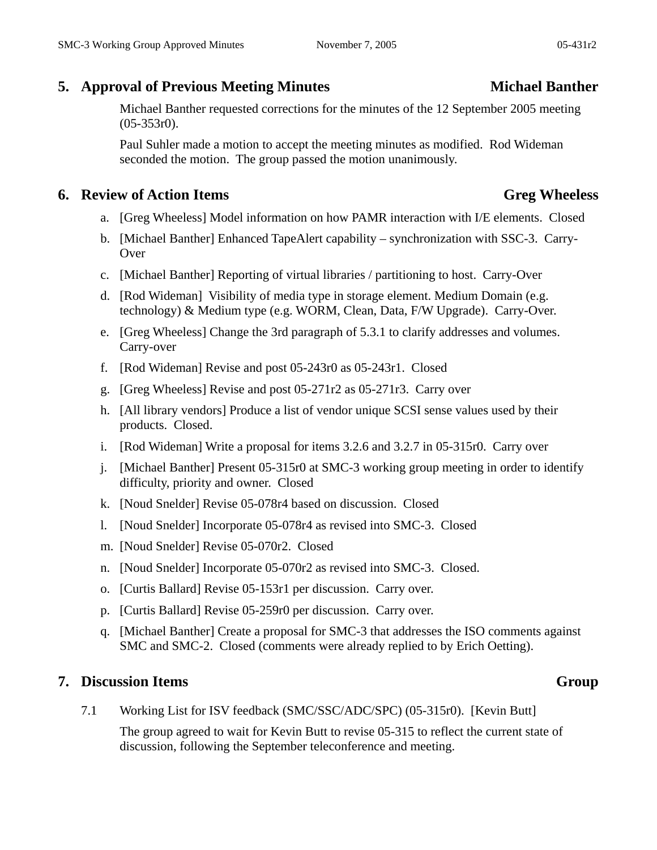# **5. Approval of Previous Meeting Minutes** Michael Banther

Michael Banther requested corrections for the minutes of the 12 September 2005 meeting (05-353r0).

Paul Suhler made a motion to accept the meeting minutes as modified. Rod Wideman seconded the motion. The group passed the motion unanimously.

## **6. Review of Action Items Greg Wheeless**

- a. [Greg Wheeless] Model information on how PAMR interaction with I/E elements. Closed
- b. [Michael Banther] Enhanced TapeAlert capability synchronization with SSC-3. Carry-Over
- c. [Michael Banther] Reporting of virtual libraries / partitioning to host. Carry-Over
- d. [Rod Wideman] Visibility of media type in storage element. Medium Domain (e.g. technology) & Medium type (e.g. WORM, Clean, Data, F/W Upgrade). Carry-Over.
- e. [Greg Wheeless] Change the 3rd paragraph of 5.3.1 to clarify addresses and volumes. Carry-over
- f. [Rod Wideman] Revise and post 05-243r0 as 05-243r1. Closed
- g. [Greg Wheeless] Revise and post 05-271r2 as 05-271r3. Carry over
- h. [All library vendors] Produce a list of vendor unique SCSI sense values used by their products. Closed.
- i. [Rod Wideman] Write a proposal for items 3.2.6 and 3.2.7 in 05-315r0. Carry over
- j. [Michael Banther] Present 05-315r0 at SMC-3 working group meeting in order to identify difficulty, priority and owner. Closed
- k. [Noud Snelder] Revise 05-078r4 based on discussion. Closed
- l. [Noud Snelder] Incorporate 05-078r4 as revised into SMC-3. Closed
- m. [Noud Snelder] Revise 05-070r2. Closed
- n. [Noud Snelder] Incorporate 05-070r2 as revised into SMC-3. Closed.
- o. [Curtis Ballard] Revise 05-153r1 per discussion. Carry over.
- p. [Curtis Ballard] Revise 05-259r0 per discussion. Carry over.
- q. [Michael Banther] Create a proposal for SMC-3 that addresses the ISO comments against SMC and SMC-2. Closed (comments were already replied to by Erich Oetting).

### **7. Discussion Items** Group

7.1 Working List for ISV feedback (SMC/SSC/ADC/SPC) (05-315r0). [Kevin Butt]

The group agreed to wait for Kevin Butt to revise 05-315 to reflect the current state of discussion, following the September teleconference and meeting.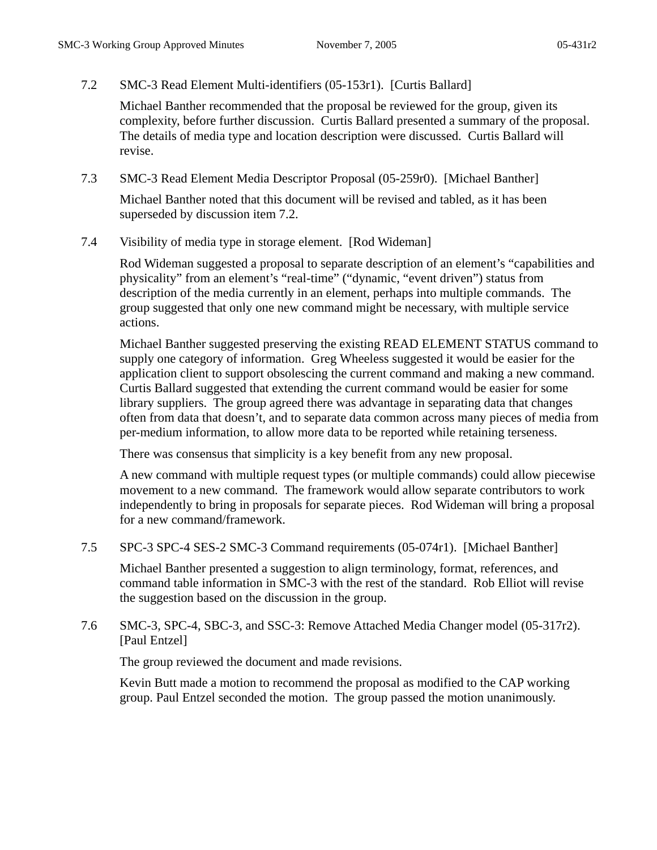7.2 SMC-3 Read Element Multi-identifiers (05-153r1). [Curtis Ballard]

Michael Banther recommended that the proposal be reviewed for the group, given its complexity, before further discussion. Curtis Ballard presented a summary of the proposal. The details of media type and location description were discussed. Curtis Ballard will revise.

7.3 SMC-3 Read Element Media Descriptor Proposal (05-259r0). [Michael Banther]

Michael Banther noted that this document will be revised and tabled, as it has been superseded by discussion item 7.2.

7.4 Visibility of media type in storage element. [Rod Wideman]

Rod Wideman suggested a proposal to separate description of an element's "capabilities and physicality" from an element's "real-time" ("dynamic, "event driven") status from description of the media currently in an element, perhaps into multiple commands. The group suggested that only one new command might be necessary, with multiple service actions.

Michael Banther suggested preserving the existing READ ELEMENT STATUS command to supply one category of information. Greg Wheeless suggested it would be easier for the application client to support obsolescing the current command and making a new command. Curtis Ballard suggested that extending the current command would be easier for some library suppliers. The group agreed there was advantage in separating data that changes often from data that doesn't, and to separate data common across many pieces of media from per-medium information, to allow more data to be reported while retaining terseness.

There was consensus that simplicity is a key benefit from any new proposal.

A new command with multiple request types (or multiple commands) could allow piecewise movement to a new command. The framework would allow separate contributors to work independently to bring in proposals for separate pieces. Rod Wideman will bring a proposal for a new command/framework.

7.5 SPC-3 SPC-4 SES-2 SMC-3 Command requirements (05-074r1). [Michael Banther]

Michael Banther presented a suggestion to align terminology, format, references, and command table information in SMC-3 with the rest of the standard. Rob Elliot will revise the suggestion based on the discussion in the group.

7.6 SMC-3, SPC-4, SBC-3, and SSC-3: Remove Attached Media Changer model (05-317r2). [Paul Entzel]

The group reviewed the document and made revisions.

Kevin Butt made a motion to recommend the proposal as modified to the CAP working group. Paul Entzel seconded the motion. The group passed the motion unanimously.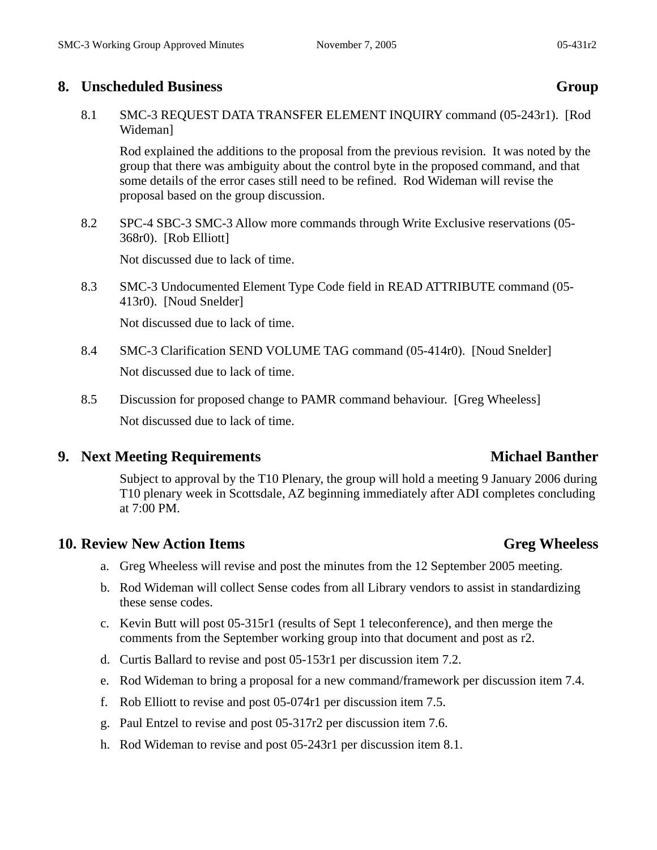### **8. Unscheduled Business Group**

8.1 SMC-3 REQUEST DATA TRANSFER ELEMENT INQUIRY command (05-243r1). [Rod Wideman]

Rod explained the additions to the proposal from the previous revision. It was noted by the group that there was ambiguity about the control byte in the proposed command, and that some details of the error cases still need to be refined. Rod Wideman will revise the proposal based on the group discussion.

8.2 SPC-4 SBC-3 SMC-3 Allow more commands through Write Exclusive reservations (05- 368r0). [Rob Elliott]

Not discussed due to lack of time.

8.3 SMC-3 Undocumented Element Type Code field in READ ATTRIBUTE command (05- 413r0). [Noud Snelder]

Not discussed due to lack of time.

- 8.4 SMC-3 Clarification SEND VOLUME TAG command (05-414r0). [Noud Snelder] Not discussed due to lack of time.
- 8.5 Discussion for proposed change to PAMR command behaviour. [Greg Wheeless] Not discussed due to lack of time.

# **9. Next Meeting Requirements** Michael Banther

Subject to approval by the T10 Plenary, the group will hold a meeting 9 January 2006 during T10 plenary week in Scottsdale, AZ beginning immediately after ADI completes concluding at 7:00 PM.

### **10.** Review New Action Items **Greg Wheeless**

- a. Greg Wheeless will revise and post the minutes from the 12 September 2005 meeting.
- b. Rod Wideman will collect Sense codes from all Library vendors to assist in standardizing these sense codes.
- c. Kevin Butt will post 05-315r1 (results of Sept 1 teleconference), and then merge the comments from the September working group into that document and post as r2.
- d. Curtis Ballard to revise and post 05-153r1 per discussion item 7.2.
- e. Rod Wideman to bring a proposal for a new command/framework per discussion item 7.4.
- f. Rob Elliott to revise and post 05-074r1 per discussion item 7.5.
- g. Paul Entzel to revise and post 05-317r2 per discussion item 7.6.
- h. Rod Wideman to revise and post 05-243r1 per discussion item 8.1.